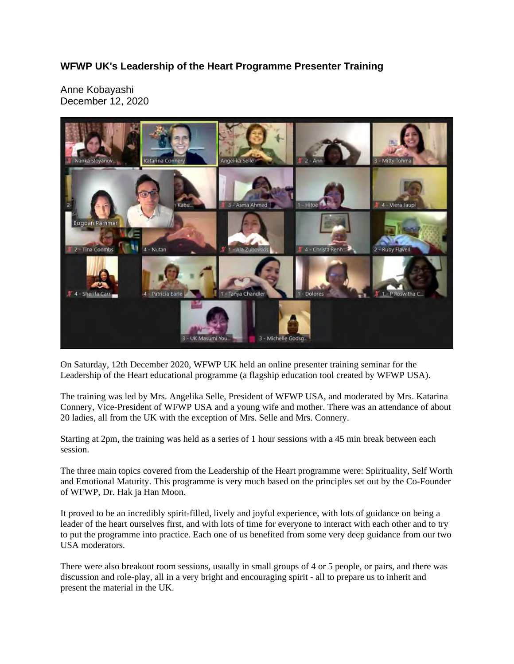## **WFWP UK's Leadership of the Heart Programme Presenter Training**

Anne Kobayashi December 12, 2020



On Saturday, 12th December 2020, WFWP UK held an online presenter training seminar for the Leadership of the Heart educational programme (a flagship education tool created by WFWP USA).

The training was led by Mrs. Angelika Selle, President of WFWP USA, and moderated by Mrs. Katarina Connery, Vice-President of WFWP USA and a young wife and mother. There was an attendance of about 20 ladies, all from the UK with the exception of Mrs. Selle and Mrs. Connery.

Starting at 2pm, the training was held as a series of 1 hour sessions with a 45 min break between each session.

The three main topics covered from the Leadership of the Heart programme were: Spirituality, Self Worth and Emotional Maturity. This programme is very much based on the principles set out by the Co-Founder of WFWP, Dr. Hak ja Han Moon.

It proved to be an incredibly spirit-filled, lively and joyful experience, with lots of guidance on being a leader of the heart ourselves first, and with lots of time for everyone to interact with each other and to try to put the programme into practice. Each one of us benefited from some very deep guidance from our two USA moderators.

There were also breakout room sessions, usually in small groups of 4 or 5 people, or pairs, and there was discussion and role-play, all in a very bright and encouraging spirit - all to prepare us to inherit and present the material in the UK.